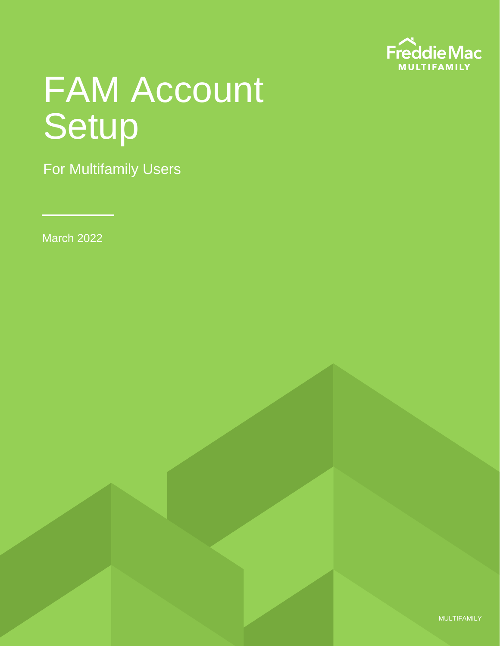

# FAM Account Setup

For Multifamily Users

March 2022

MULTIFAMILY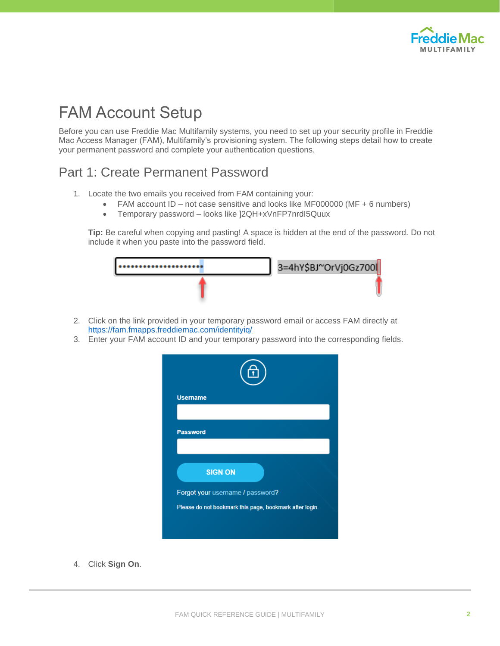

## FAM Account Setup

Before you can use Freddie Mac Multifamily systems, you need to set up your security profile in Freddie Mac Access Manager (FAM), Multifamily's provisioning system. The following steps detail how to create your permanent password and complete your authentication questions.

#### Part 1: Create Permanent Password

- 1. Locate the two emails you received from FAM containing your:
	- FAM account ID not case sensitive and looks like MF000000 (MF + 6 numbers)
	- Temporary password looks like ]2QH+xVnFP7nrdI5Quux

**Tip:** Be careful when copying and pasting! A space is hidden at the end of the password. Do not include it when you paste into the password field.



- 2. Click on the link provided in your temporary password email or access FAM directly at <https://fam.fmapps.freddiemac.com/identityiq/>
- 3. Enter your FAM account ID and your temporary password into the corresponding fields.



4. Click **Sign On**.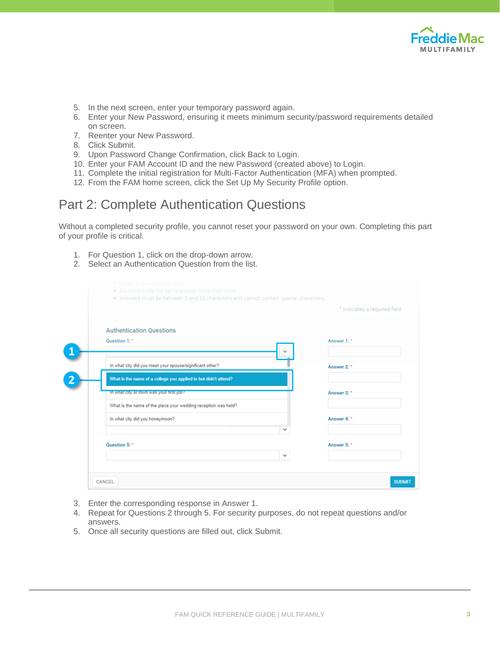

- 5. In the next screen, enter your temporary password again.
- 6. Enter your New Password, ensuring it meets minimum security/password requirements detailed on screen.
- 7. Reenter your New Password.
- 8. Click Submit.
- 9. Upon Password Change Confirmation, click Back to Login.
- 10. Enter your FAM Account ID and the new Password (created above) to Login.
- 11. Complete the initial registration for Multi-Factor Authentication (MFA) when prompted.
- 12. From the FAM home screen, click the Set Up My Security Profile option.

#### Part 2: Complete Authentication Questions

Without a completed security profile, you cannot reset your password on your own. Completing this part of your profile is critical.

- 1. For Question 1, click on the drop-down arrow.
- 2. Select an Authentication Question from the list.

|               |                                                                 | * Indicates a required field |
|---------------|-----------------------------------------------------------------|------------------------------|
|               |                                                                 |                              |
|               | <b>Authentication Questions</b>                                 |                              |
| Question 1: * |                                                                 | Answer 1:*                   |
|               | w                                                               |                              |
|               | In what city did you meet your spouse/significant other?        | Answer 2:*                   |
|               | What is the name of a college you applied to but didn't attend? |                              |
|               | in what city or town was your first job?                        | Answer 3:*                   |
|               | What is the name of the place your wedding reception was held?  |                              |
|               | In what city did you honeymoon?                                 | Answer 4: *                  |
|               | v                                                               |                              |
| Question 5:*  |                                                                 | Answer 5:*                   |
|               | v                                                               |                              |

- 3. Enter the corresponding response in Answer 1.
- 4. Repeat for Questions 2 through 5. For security purposes, do not repeat questions and/or answers.
- 5. Once all security questions are filled out, click Submit.